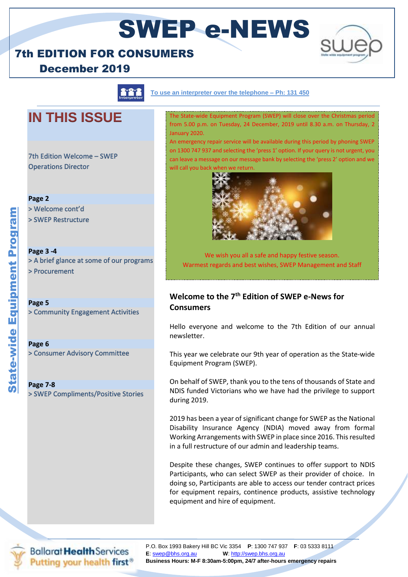### 7th EDITION FOR CONSUMERS





<u> 111</u>

**To use an interpreter over the telephone – Ph: 131 450**

## **IN THIS ISSUE**

7th Edition Welcome – SWEP Operations Director

### **Page 2**

> Welcome cont'd

> SWEP Restructure

**Page 3 -4**  > A brief glance at some of our programs > Procurement

**Page 5** > Community Engagement Activities

**Page 6**

> Consumer Advisory Committee

**Page 7-8** > SWEP Compliments/Positive Stories

The State-wide Equipment Program (SWEP) will close over the Christmas period from 5.00 p.m. on Tuesday, 24 December, 2019 until 8.30 a.m. on Thursday, 2 January 2020.

An emergency repair service will be available during this period by phoning SWEP on 1300 747 937 and selecting the 'press 1' option. If your query is not urgent, you can leave a message on our message bank by selecting the 'press 2' option and we will call you back v



We wish you all a safe and happy festive season. Warmest regards and best wishes, SWEP Management and Staff

### **Welcome to the 7th Edition of SWEP e-News for Consumers**

Hello everyone and welcome to the 7th Edition of our annual newsletter.

This year we celebrate our 9th year of operation as the State-wide Equipment Program (SWEP).

On behalf of SWEP, thank you to the tens of thousands of State and NDIS funded Victorians who we have had the privilege to support during 2019.

2019 has been a year of significant change for SWEP as the National Disability Insurance Agency (NDIA) moved away from formal Working Arrangements with SWEP in place since 2016. This resulted in a full restructure of our admin and leadership teams.

Despite these changes, SWEP continues to offer support to NDIS Participants, who can select SWEP as their provider of choice. In doing so, Participants are able to access our tender contract prices for equipment repairs, continence products, assistive technology equipment and hire of equipment.



**Ballarat Health Services** Putting your health first<sup>®</sup>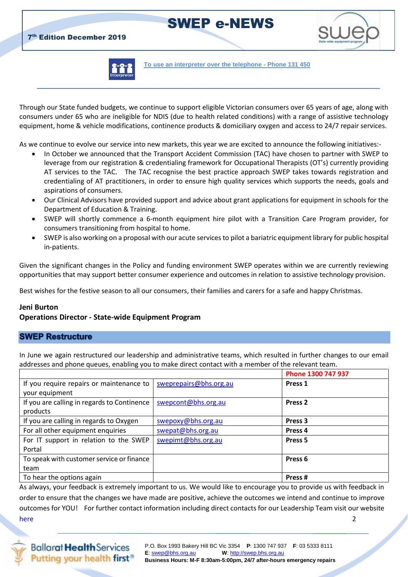**7th Edition December 2019** 



**To use an interpreter over the telephone - Phone 131 450**

Through our State funded budgets, we continue to support eligible Victorian consumers over 65 years of age, along with consumers under 65 who are ineligible for NDIS (due to health related conditions) with a range of assistive technology equipment, home & vehicle modifications, continence products & domiciliary oxygen and access to 24/7 repair services.

As we continue to evolve our service into new markets, this year we are excited to announce the following initiatives:-

- In October we announced that the Transport Accident Commission (TAC) have chosen to partner with SWEP to leverage from our registration & credentialing framework for Occupational Therapists (OT's) currently providing AT services to the TAC. The TAC recognise the best practice approach SWEP takes towards registration and credentialing of AT practitioners, in order to ensure high quality services which supports the needs, goals and aspirations of consumers.
- Our Clinical Advisors have provided support and advice about grant applications for equipment in schools for the Department of Education & Training.
- SWEP will shortly commence a 6-month equipment hire pilot with a Transition Care Program provider, for consumers transitioning from hospital to home.
- SWEP is also working on a proposal with our acute services to pilot a bariatric equipment library for public hospital in-patients.

Given the significant changes in the Policy and funding environment SWEP operates within we are currently reviewing opportunities that may support better consumer experience and outcomes in relation to assistive technology provision.

Best wishes for the festive season to all our consumers, their families and carers for a safe and happy Christmas.

### **Jeni Burton**

### **Operations Director - State-wide Equipment Program**

### **SWEP Restructure**

In June we again restructured our leadership and administrative teams, which resulted in further changes to our email addresses and phone queues, enabling you to make direct contact with a member of the relevant team.

|                                             |                        | Phone 1300 747 937 |
|---------------------------------------------|------------------------|--------------------|
| If you require repairs or maintenance to    | sweprepairs@bhs.org.au | Press <sub>1</sub> |
| your equipment                              |                        |                    |
| If you are calling in regards to Continence | swepcont@bhs.org.au    | Press <sub>2</sub> |
| products                                    |                        |                    |
| If you are calling in regards to Oxygen     | swepoxy@bhs.org.au     | Press <sub>3</sub> |
| For all other equipment enquiries           | swepat@bhs.org.au      | Press <sub>4</sub> |
| For IT support in relation to the SWEP      | swepimt@bhs.org.au     | Press <sub>5</sub> |
| Portal                                      |                        |                    |
| To speak with customer service or finance   |                        | Press <sub>6</sub> |
| team                                        |                        |                    |
| To hear the options again                   |                        | Press#             |

As always, your feedback is extremely important to us. We would like to encourage you to provide us with feedback in order to ensure that the changes we have made are positive, achieve the outcomes we intend and continue to improve outcomes for YOU! For further contact information including direct contacts for our Leadership Team visit our website [here](https://swep.bhs.org.au/swep-team-new.php) 22 and 23 and 23 and 23 and 23 and 23 and 23 and 23 and 23 and 23 and 23 and 23 and 23 and 23 and 23 and 2

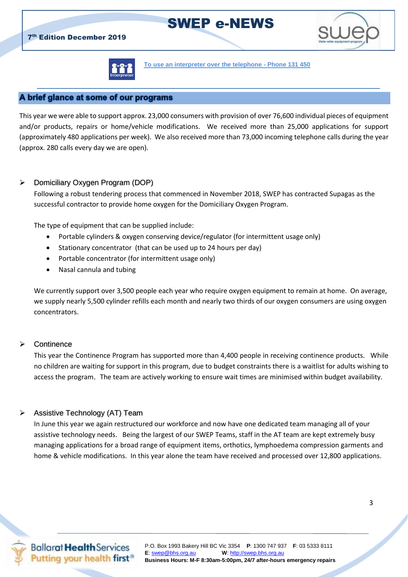

**To use an interpreter over the telephone - Phone 131 450**

SWEP e-NEWS

### A brief glance at some of our programs

This year we were able to support approx. 23,000 consumers with provision of over 76,600 individual pieces of equipment and/or products, repairs or home/vehicle modifications. We received more than 25,000 applications for support (approximately 480 applications per week). We also received more than 73,000 incoming telephone calls during the year (approx. 280 calls every day we are open).

### Domiciliary Oxygen Program (DOP)

Following a robust tendering process that commenced in November 2018, SWEP has contracted Supagas as the successful contractor to provide home oxygen for the Domiciliary Oxygen Program.

The type of equipment that can be supplied include:

- Portable cylinders & oxygen conserving device/regulator (for intermittent usage only)
- Stationary concentrator (that can be used up to 24 hours per day)
- Portable concentrator (for intermittent usage only)
- Nasal cannula and tubing

We currently support over 3,500 people each year who require oxygen equipment to remain at home. On average, we supply nearly 5,500 cylinder refills each month and nearly two thirds of our oxygen consumers are using oxygen concentrators.

#### **▶ Continence**

This year the Continence Program has supported more than 4,400 people in receiving continence products. While no children are waiting for support in this program, due to budget constraints there is a waitlist for adults wishing to access the program. The team are actively working to ensure wait times are minimised within budget availability.

#### $\triangleright$  Assistive Technology (AT) Team

In June this year we again restructured our workforce and now have one dedicated team managing all of your assistive technology needs. Being the largest of our SWEP Teams, staff in the AT team are kept extremely busy managing applications for a broad range of equipment items, orthotics, lymphoedema compression garments and home & vehicle modifications. In this year alone the team have received and processed over 12,800 applications.

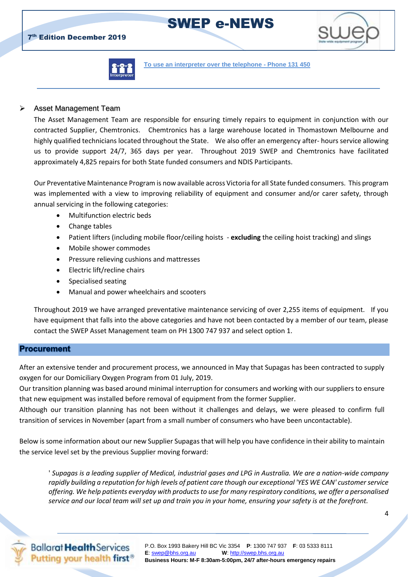**7th Edition December 2019** 



**To use an interpreter over the telephone - Phone 131 450**

### Asset Management Team

The Asset Management Team are responsible for ensuring timely repairs to equipment in conjunction with our contracted Supplier, Chemtronics. Chemtronics has a large warehouse located in Thomastown Melbourne and highly qualified technicians located throughout the State. We also offer an emergency after- hours service allowing us to provide support 24/7, 365 days per year. Throughout 2019 SWEP and Chemtronics have facilitated approximately 4,825 repairs for both State funded consumers and NDIS Participants.

Our Preventative Maintenance Program is now available across Victoria for all State funded consumers. This program was implemented with a view to improving reliability of equipment and consumer and/or carer safety, through annual servicing in the following categories:

- Multifunction electric beds
- Change tables
- Patient lifters (including mobile floor/ceiling hoists **excluding** the ceiling hoist tracking) and slings
- Mobile shower commodes
- Pressure relieving cushions and mattresses
- Electric lift/recline chairs
- Specialised seating
- Manual and power wheelchairs and scooters

Throughout 2019 we have arranged preventative maintenance servicing of over 2,255 items of equipment. If you have equipment that falls into the above categories and have not been contacted by a member of our team, please contact the SWEP Asset Management team on PH 1300 747 937 and select option 1.

### **Procurement**

After an extensive tender and procurement process, we announced in May that Supagas has been contracted to supply oxygen for our Domiciliary Oxygen Program from 01 July, 2019.

Our transition planning was based around minimal interruption for consumers and working with our suppliers to ensure that new equipment was installed before removal of equipment from the former Supplier.

Although our transition planning has not been without it challenges and delays, we were pleased to confirm full transition of services in November (apart from a small number of consumers who have been uncontactable).

Below is some information about our new Supplier Supagas that will help you have confidence in their ability to maintain the service level set by the previous Supplier moving forward:

' *Supagas is a leading supplier of Medical, industrial gases and LPG in Australia. We are a nation-wide company rapidly building a reputation for high levels of patient care though our exceptional 'YES WE CAN' customer service offering. We help patients everyday with products to use for many respiratory conditions, we offer a personalised service and our local team will set up and train you in your home, ensuring your safety is at the forefront.*

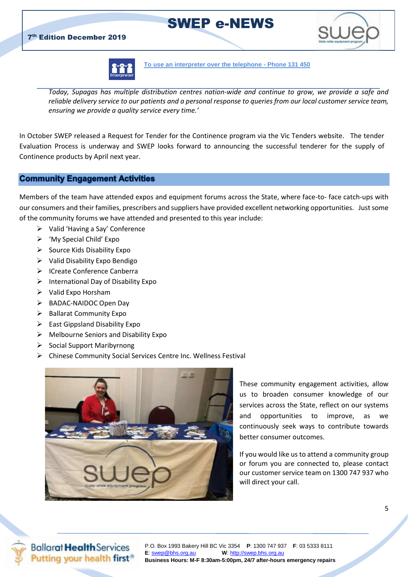





#### **To use an interpreter over the telephone - Phone 131 450**

*Today, Supagas has multiple distribution centres nation-wide and continue to grow, we provide a safe and reliable delivery service to our patients and a personal response to queries from our local customer service team, ensuring we provide a quality service every time.'*

In October SWEP released a Request for Tender for the Continence program via the Vic Tenders website. The tender Evaluation Process is underway and SWEP looks forward to announcing the successful tenderer for the supply of Continence products by April next year.

### **Community Engagement Activities**

Members of the team have attended expos and equipment forums across the State, where face-to- face catch-ups with our consumers and their families, prescribers and suppliers have provided excellent networking opportunities. Just some of the community forums we have attended and presented to this year include:

- $\triangleright$  Valid 'Having a Say' Conference
- 'My Special Child' Expo
- $\triangleright$  Source Kids Disability Expo
- $\triangleright$  Valid Disability Expo Bendigo
- > ICreate Conference Canberra
- $\triangleright$  International Day of Disability Expo
- $\triangleright$  Valid Expo Horsham
- > BADAC-NAIDOC Open Day
- $\triangleright$  Ballarat Community Expo
- $\triangleright$  East Gippsland Disability Expo
- $\triangleright$  Melbourne Seniors and Disability Expo
- $\triangleright$  Social Support Maribyrnong
- Chinese Community Social Services Centre Inc. Wellness Festival



These community engagement activities, allow us to broaden consumer knowledge of our services across the State, reflect on our systems and opportunities to improve, as we continuously seek ways to contribute towards better consumer outcomes.

If you would like us to attend a community group or forum you are connected to, please contact our customer service team on 1300 747 937 who will direct your call.

**Ballarat Health Services** Putting your health first<sup>®</sup>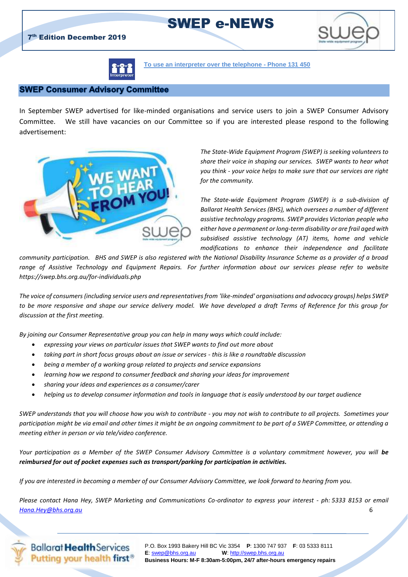

**To use an interpreter over the telephone - Phone 131 450**

### **SWEP Consumer Advisory Committee**

In September SWEP advertised for like-minded organisations and service users to join a SWEP Consumer Advisory Committee. We still have vacancies on our Committee so if you are interested please respond to the following advertisement:



*The State-Wide Equipment Program (SWEP) is seeking volunteers to share their voice in shaping our services. SWEP wants to hear what you think - your voice helps to make sure that our services are right for the community.* 

*The State-wide Equipment Program (SWEP) is a sub-division of Ballarat Health Services (BHS), which oversees a number of different assistive technology programs. SWEP provides Victorian people who either have a permanent or long-term disability or are frail aged with subsidised assistive technology (AT) items, home and vehicle modifications to enhance their independence and facilitate* 

*community participation. BHS and SWEP is also registered with the National Disability Insurance Scheme as a provider of a broad range of Assistive Technology and Equipment Repairs. For further information about our services please refer to website <https://swep.bhs.org.au/for-individuals.php>*

*The voice of consumers (including service users and representatives from 'like-minded' organisations and advocacy groups) helps SWEP to be more responsive and shape our service delivery model. We have developed a draft Terms of Reference for this group for discussion at the first meeting.* 

*By joining our Consumer Representative group you can help in many ways which could include:*

- *expressing your views on particular issues that SWEP wants to find out more about*
- *taking part in short focus groups about an issue or services - this is like a roundtable discussion*
- *being a member of a working group related to projects and service expansions*
- *learning how we respond to consumer feedback and sharing your ideas for improvement*
- *sharing your ideas and experiences as a consumer/carer*
- *helping us to develop consumer information and tools in language that is easily understood by our target audience*

*SWEP understands that you will choose how you wish to contribute - you may not wish to contribute to all projects. Sometimes your participation might be via email and other times it might be an ongoing commitment to be part of a SWEP Committee, or attending a meeting either in person or via tele/video conference.*

*Your participation as a Member of the SWEP Consumer Advisory Committee is a voluntary commitment however, you will be reimbursed for out of pocket expenses such as transport/parking for participation in activities.*

*If you are interested in becoming a member of our Consumer Advisory Committee, we look forward to hearing from you.*

*Please contact Hana Hey, SWEP Marketing and Communications Co-ordinator to express your interest - ph: 5333 8153 or email [Hana.Hey@bhs.org.au](mailto:Hana.Hey@bhs.org.au)* 6



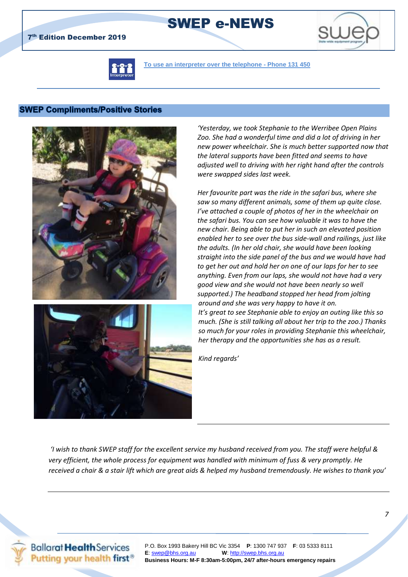

**To use an interpreter over the telephone - Phone 131 450**

SWEP e-NEWS

### **SWEP Compliments/Positive Stories**





*'Yesterday, we took Stephanie to the Werribee Open Plains Zoo. She had a wonderful time and did a lot of driving in her new power wheelchair. She is much better supported now that the lateral supports have been fitted and seems to have adjusted well to driving with her right hand after the controls were swapped sides last week.*

*Her favourite part was the ride in the safari bus, where she saw so many different animals, some of them up quite close. I've attached a couple of photos of her in the wheelchair on the safari bus. You can see how valuable it was to have the new chair. Being able to put her in such an elevated position enabled her to see over the bus side-wall and railings, just like the adults. (In her old chair, she would have been looking straight into the side panel of the bus and we would have had to get her out and hold her on one of our laps for her to see anything. Even from our laps, she would not have had a very good view and she would not have been nearly so well supported.) The headband stopped her head from jolting around and she was very happy to have it on. It's great to see Stephanie able to enjoy an outing like this so much. (She is still talking all about her trip to the zoo.) Thanks so much for your roles in providing Stephanie this wheelchair, her therapy and the opportunities she has as a result.*

*Kind regards'*

*'I wish to thank SWEP staff for the excellent service my husband received from you. The staff were helpful & very efficient, the whole process for equipment was handled with minimum of fuss & very promptly. He received a chair & a stair lift which are great aids & helped my husband tremendously. He wishes to thank you'*

**Ballarat Health Services** Putting your health first<sup>®</sup>